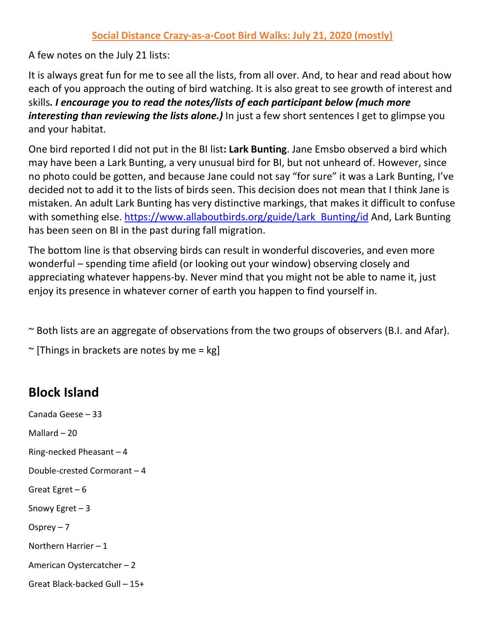## **Social Distance Crazy-as-a-Coot Bird Walks: July 21, 2020 (mostly)**

A few notes on the July 21 lists:

It is always great fun for me to see all the lists, from all over. And, to hear and read about how each of you approach the outing of bird watching. It is also great to see growth of interest and skills*. I encourage you to read the notes/lists of each participant below (much more interesting than reviewing the lists alone.)* In just a few short sentences I get to glimpse you and your habitat.

One bird reported I did not put in the BI list**: Lark Bunting**. Jane Emsbo observed a bird which may have been a Lark Bunting, a very unusual bird for BI, but not unheard of. However, since no photo could be gotten, and because Jane could not say "for sure" it was a Lark Bunting, I've decided not to add it to the lists of birds seen. This decision does not mean that I think Jane is mistaken. An adult Lark Bunting has very distinctive markings, that makes it difficult to confuse with something else. [https://www.allaboutbirds.org/guide/Lark\\_Bunting/id](https://www.allaboutbirds.org/guide/Lark_Bunting/id) And, Lark Bunting has been seen on BI in the past during fall migration.

The bottom line is that observing birds can result in wonderful discoveries, and even more wonderful – spending time afield (or looking out your window) observing closely and appreciating whatever happens-by. Never mind that you might not be able to name it, just enjoy its presence in whatever corner of earth you happen to find yourself in.

~ Both lists are an aggregate of observations from the two groups of observers (B.I. and Afar).

 $\sim$  [Things in brackets are notes by me = kg]

## **Block Island**

Canada Geese – 33 Mallard – 20 Ring-necked Pheasant – 4 Double-crested Cormorant – 4 Great Egret  $-6$ Snowy Egret – 3 Osprey  $-7$ Northern Harrier – 1 American Oystercatcher – 2 Great Black-backed Gull – 15+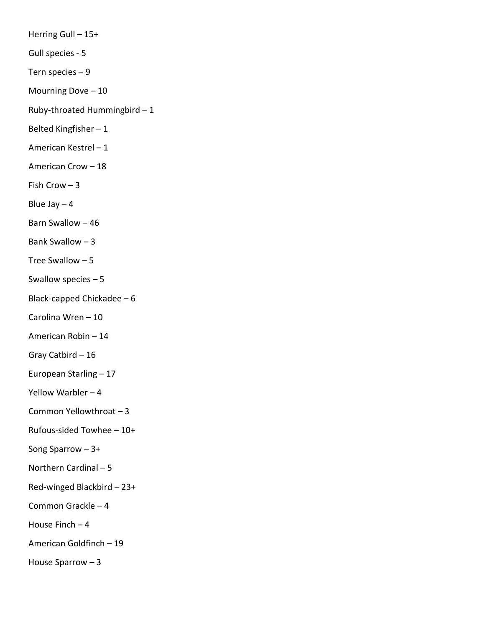Herring Gull – 15+ Gull species - 5 Tern species – 9 Mourning Dove – 10 Ruby-throated Hummingbird – 1 Belted Kingfisher – 1 American Kestrel – 1 American Crow – 18 Fish Crow – 3 Blue Jay  $-4$ Barn Swallow – 46 Bank Swallow – 3 Tree Swallow – 5 Swallow species – 5 Black-capped Chickadee – 6 Carolina Wren – 10 American Robin – 14 Gray Catbird – 16 European Starling – 17 Yellow Warbler – 4 Common Yellowthroat – 3 Rufous-sided Towhee – 10+ Song Sparrow – 3+ Northern Cardinal – 5 Red-winged Blackbird – 23+ Common Grackle – 4 House Finch  $-4$ American Goldfinch – 19 House Sparrow – 3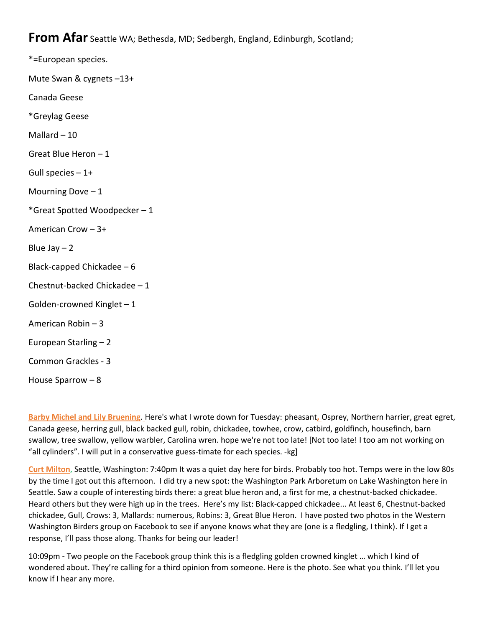**From Afar** Seattle WA; Bethesda, MD; Sedbergh, England, Edinburgh, Scotland;

\*=European species. Mute Swan & cygnets –13+ Canada Geese \*Greylag Geese Mallard – 10 Great Blue Heron – 1 Gull species  $-1+$ Mourning Dove  $-1$ \*Great Spotted Woodpecker – 1 American Crow – 3+ Blue Jay  $-2$ Black-capped Chickadee – 6 Chestnut-backed Chickadee – 1 Golden-crowned Kinglet – 1 American Robin – 3 European Starling – 2 Common Grackles - 3 House Sparrow – 8

**Barby Michel and Lily Bruening**. Here's what I wrote down for Tuesday: pheasant**,** Osprey, Northern harrier, great egret, Canada geese, herring gull, black backed gull, robin, chickadee, towhee, crow, catbird, goldfinch, housefinch, barn swallow, tree swallow, yellow warbler, Carolina wren. hope we're not too late! [Not too late! I too am not working on "all cylinders". I will put in a conservative guess-timate for each species. -kg]

**Curt Milton**, Seattle, Washington: 7:40pm It was a quiet day here for birds. Probably too hot. Temps were in the low 80s by the time I got out this afternoon. I did try a new spot: the Washington Park Arboretum on Lake Washington here in Seattle. Saw a couple of interesting birds there: a great blue heron and, a first for me, a chestnut-backed chickadee. Heard others but they were high up in the trees. Here's my list: Black-capped chickadee... At least 6, Chestnut-backed chickadee, Gull, Crows: 3, Mallards: numerous, Robins: 3, Great Blue Heron. I have posted two photos in the Western Washington Birders group on Facebook to see if anyone knows what they are (one is a fledgling, I think). If I get a response, I'll pass those along. Thanks for being our leader!

10:09pm - Two people on the Facebook group think this is a fledgling golden crowned kinglet … which I kind of wondered about. They're calling for a third opinion from someone. Here is the photo. See what you think. I'll let you know if I hear any more.